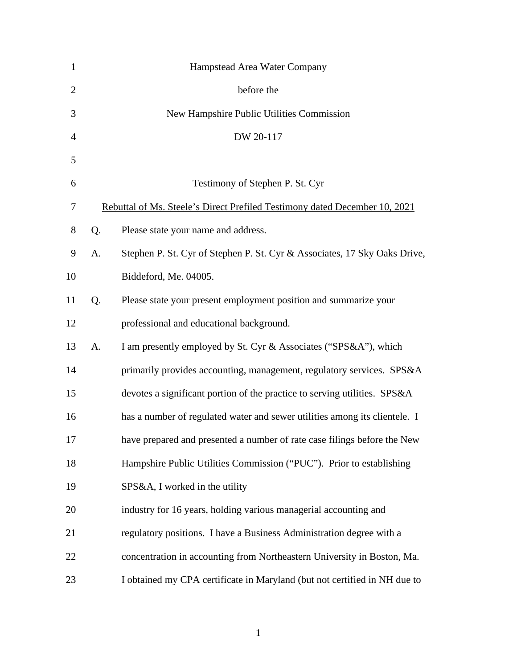| $\mathbf{1}$   |                                                                            | Hampstead Area Water Company                                               |
|----------------|----------------------------------------------------------------------------|----------------------------------------------------------------------------|
| $\overline{2}$ |                                                                            | before the                                                                 |
| 3              |                                                                            | New Hampshire Public Utilities Commission                                  |
| 4              |                                                                            | DW 20-117                                                                  |
| 5              |                                                                            |                                                                            |
| 6              |                                                                            | Testimony of Stephen P. St. Cyr                                            |
| 7              | Rebuttal of Ms. Steele's Direct Prefiled Testimony dated December 10, 2021 |                                                                            |
| 8              | Q.                                                                         | Please state your name and address.                                        |
| 9              | A.                                                                         | Stephen P. St. Cyr of Stephen P. St. Cyr & Associates, 17 Sky Oaks Drive,  |
| 10             |                                                                            | Biddeford, Me. 04005.                                                      |
| 11             | Q.                                                                         | Please state your present employment position and summarize your           |
| 12             |                                                                            | professional and educational background.                                   |
| 13             | A.                                                                         | I am presently employed by St. Cyr & Associates ("SPS&A"), which           |
| 14             |                                                                            | primarily provides accounting, management, regulatory services. SPS&A      |
| 15             |                                                                            | devotes a significant portion of the practice to serving utilities. SPS&A  |
| 16             |                                                                            | has a number of regulated water and sewer utilities among its clientele. I |
| 17             |                                                                            | have prepared and presented a number of rate case filings before the New   |
| 18             |                                                                            | Hampshire Public Utilities Commission ("PUC"). Prior to establishing       |
| 19             |                                                                            | SPS&A, I worked in the utility                                             |
| 20             |                                                                            | industry for 16 years, holding various managerial accounting and           |
| 21             |                                                                            | regulatory positions. I have a Business Administration degree with a       |
| 22             |                                                                            | concentration in accounting from Northeastern University in Boston, Ma.    |
| 23             |                                                                            | I obtained my CPA certificate in Maryland (but not certified in NH due to  |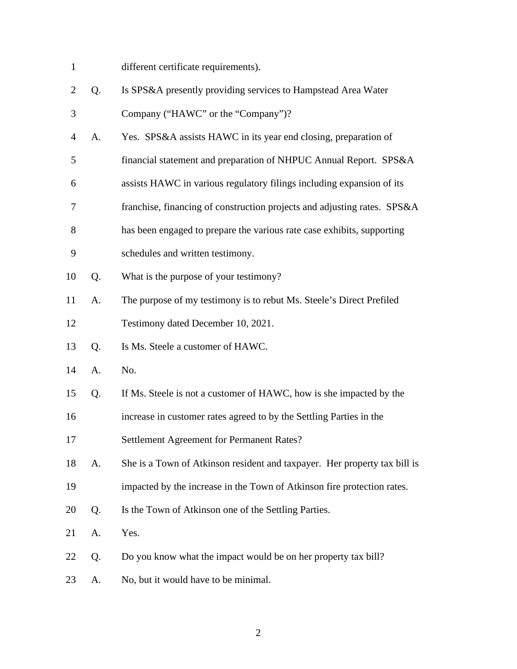- different certificate requirements).
- Q. Is SPS&A presently providing services to Hampstead Area Water Company ("HAWC" or the "Company")?
- A. Yes. SPS&A assists HAWC in its year end closing, preparation of
- financial statement and preparation of NHPUC Annual Report. SPS&A
- assists HAWC in various regulatory filings including expansion of its
- franchise, financing of construction projects and adjusting rates. SPS&A
- has been engaged to prepare the various rate case exhibits, supporting
- schedules and written testimony.
- Q. What is the purpose of your testimony?
- A. The purpose of my testimony is to rebut Ms. Steele's Direct Prefiled
- Testimony dated December 10, 2021.
- Q. Is Ms. Steele a customer of HAWC.
- A. No.
- Q. If Ms. Steele is not a customer of HAWC, how is she impacted by the
- increase in customer rates agreed to by the Settling Parties in the
- Settlement Agreement for Permanent Rates?
- A. She is a Town of Atkinson resident and taxpayer. Her property tax bill is
- impacted by the increase in the Town of Atkinson fire protection rates.
- Q. Is the Town of Atkinson one of the Settling Parties.
- A. Yes.
- Q. Do you know what the impact would be on her property tax bill?
- A. No, but it would have to be minimal.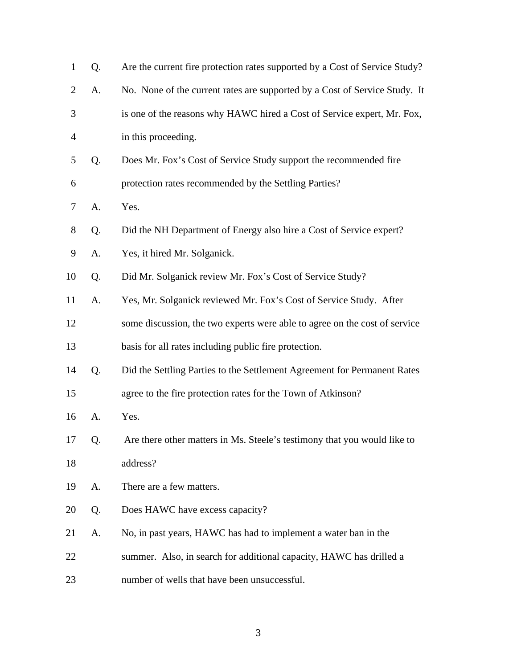| $\mathbf{1}$   | Q. | Are the current fire protection rates supported by a Cost of Service Study? |
|----------------|----|-----------------------------------------------------------------------------|
| $\overline{2}$ | A. | No. None of the current rates are supported by a Cost of Service Study. It  |
| 3              |    | is one of the reasons why HAWC hired a Cost of Service expert, Mr. Fox,     |
| $\overline{4}$ |    | in this proceeding.                                                         |
| 5              | Q. | Does Mr. Fox's Cost of Service Study support the recommended fire           |
| 6              |    | protection rates recommended by the Settling Parties?                       |
| 7              | A. | Yes.                                                                        |
| 8              | Q. | Did the NH Department of Energy also hire a Cost of Service expert?         |
| 9              | A. | Yes, it hired Mr. Solganick.                                                |
| 10             | Q. | Did Mr. Solganick review Mr. Fox's Cost of Service Study?                   |
| 11             | A. | Yes, Mr. Solganick reviewed Mr. Fox's Cost of Service Study. After          |
| 12             |    | some discussion, the two experts were able to agree on the cost of service  |
| 13             |    | basis for all rates including public fire protection.                       |
| 14             | Q. | Did the Settling Parties to the Settlement Agreement for Permanent Rates    |
| 15             |    | agree to the fire protection rates for the Town of Atkinson?                |
| 16             | A. | Yes.                                                                        |
| 17             | Q. | Are there other matters in Ms. Steele's testimony that you would like to    |
| 18             |    | address?                                                                    |
| 19             | A. | There are a few matters.                                                    |
| 20             | Q. | Does HAWC have excess capacity?                                             |
| 21             | A. | No, in past years, HAWC has had to implement a water ban in the             |
| 22             |    | summer. Also, in search for additional capacity, HAWC has drilled a         |
| 23             |    | number of wells that have been unsuccessful.                                |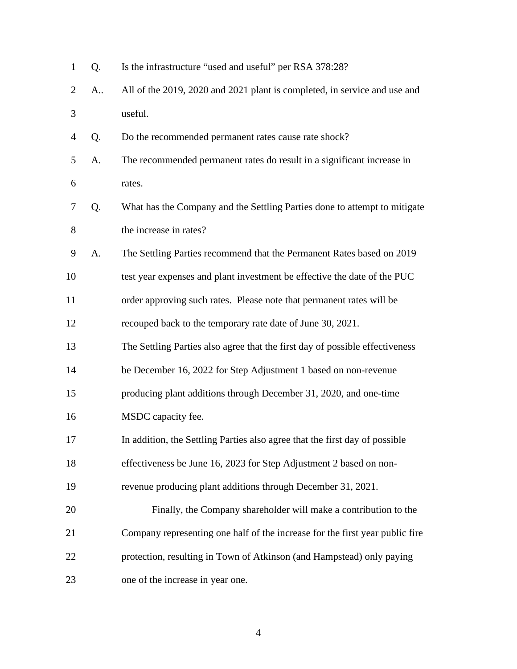| $\mathbf{1}$ | Q. | Is the infrastructure "used and useful" per RSA 378:28?                      |
|--------------|----|------------------------------------------------------------------------------|
| 2            | A  | All of the 2019, 2020 and 2021 plant is completed, in service and use and    |
| 3            |    | useful.                                                                      |
| 4            | Q. | Do the recommended permanent rates cause rate shock?                         |
| 5            | A. | The recommended permanent rates do result in a significant increase in       |
| 6            |    | rates.                                                                       |
| 7            | Q. | What has the Company and the Settling Parties done to attempt to mitigate    |
| 8            |    | the increase in rates?                                                       |
| 9            | A. | The Settling Parties recommend that the Permanent Rates based on 2019        |
| 10           |    | test year expenses and plant investment be effective the date of the PUC     |
| 11           |    | order approving such rates. Please note that permanent rates will be         |
| 12           |    | recouped back to the temporary rate date of June 30, 2021.                   |
| 13           |    | The Settling Parties also agree that the first day of possible effectiveness |
| 14           |    | be December 16, 2022 for Step Adjustment 1 based on non-revenue              |
| 15           |    | producing plant additions through December 31, 2020, and one-time            |
| 16           |    | MSDC capacity fee.                                                           |
| 17           |    | In addition, the Settling Parties also agree that the first day of possible  |
| 18           |    | effectiveness be June 16, 2023 for Step Adjustment 2 based on non-           |
| 19           |    | revenue producing plant additions through December 31, 2021.                 |
| 20           |    | Finally, the Company shareholder will make a contribution to the             |
| 21           |    | Company representing one half of the increase for the first year public fire |
| 22           |    | protection, resulting in Town of Atkinson (and Hampstead) only paying        |
| 23           |    | one of the increase in year one.                                             |